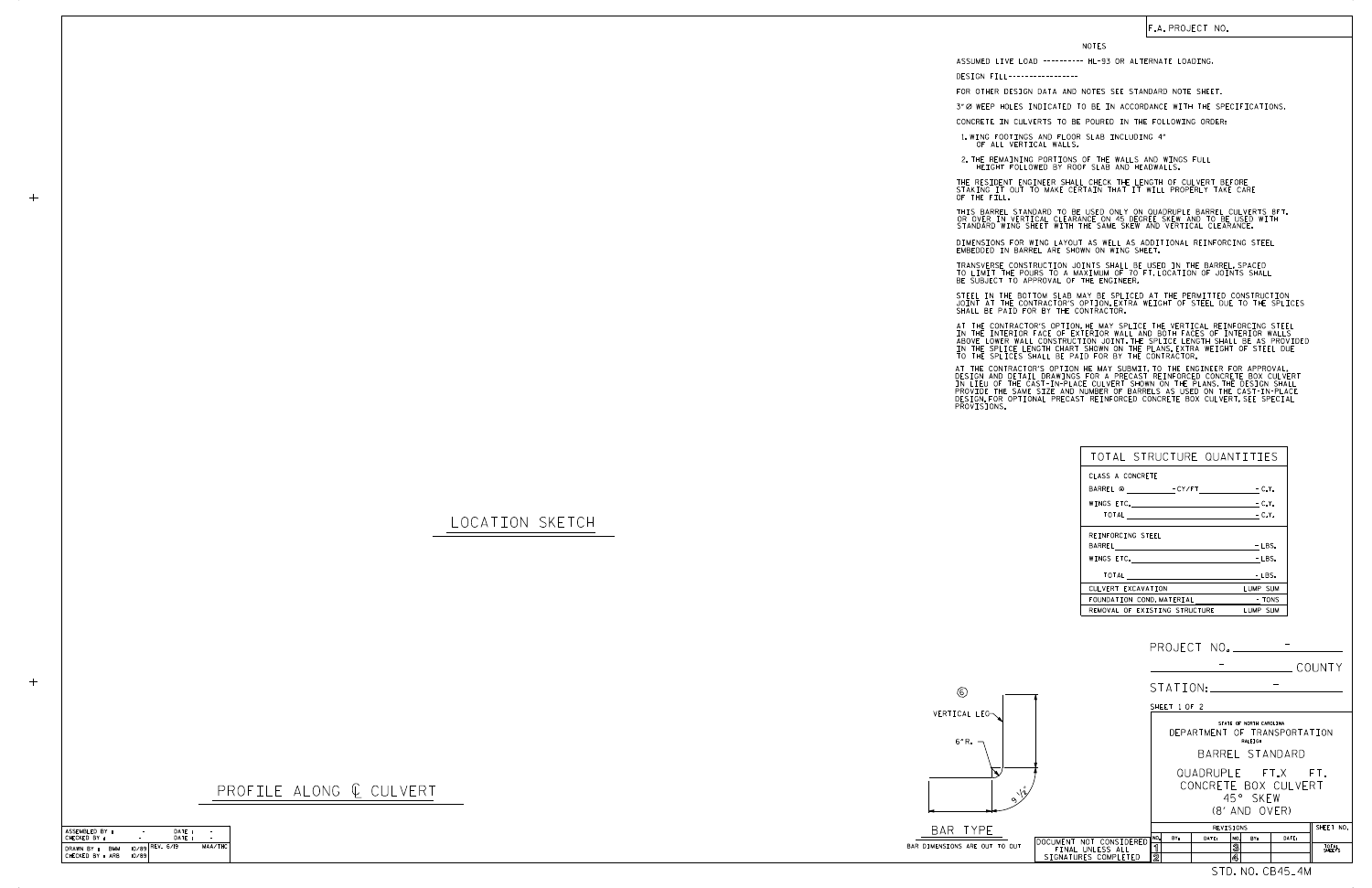|    |                                                                     |              | PROJECT NO.                                |                                    |                               |                 |
|----|---------------------------------------------------------------------|--------------|--------------------------------------------|------------------------------------|-------------------------------|-----------------|
|    |                                                                     |              |                                            |                                    |                               | COUNTY          |
|    |                                                                     |              | STATION:                                   |                                    |                               |                 |
|    |                                                                     | SHEET 1 OF 2 |                                            |                                    |                               |                 |
|    |                                                                     |              | DEPARTMENT OF TRANSPORTATION               | STATE OF NORTH CAROLINA<br>RALEIGH |                               |                 |
|    |                                                                     |              |                                            | BARREL STANDARD                    |                               |                 |
|    |                                                                     |              | QUADRUPLE FT.X FT.<br>CONCRETE BOX CULVERT | 45° SKFW                           |                               |                 |
|    |                                                                     |              |                                            | (8' AND OVER)                      |                               |                 |
|    |                                                                     | NO.<br>BY:   | REVISIONS<br>DATE:                         | NO.<br>BY:                         | DATE:                         | SHEET NO.       |
| ÜT | DOCUMENT NOT CONSIDERED<br>FINAL UNLESS ALL<br>SIGNATURES COMPLETED | ิร<br>2      |                                            | $\overline{\mathbf{3}}$<br>4       |                               | TOTAL<br>SHEETS |
|    |                                                                     |              |                                            |                                    | STD. NO. CB45 <sub>-</sub> 4M |                 |

| ASSEMBLED BY:            | ۰     | DATE:             |         |
|--------------------------|-------|-------------------|---------|
| CHECKED BY:              |       | DATF:             |         |
| DRAWN BY :<br><b>BMM</b> |       | $10/89$ REV. 6/19 | MAA/THC |
| CHECKED BY : ARB         | 10/89 |                   |         |
|                          |       |                   |         |

 $+$ 

 $+$ 

-

LOCATION SKETCH

| PROFILE ALONG ¢ CULVERT |
|-------------------------|
|-------------------------|

6

VERTICAL LEG



6" R.

STEEL IN THE BOTTOM SLAB MAY BE SPLICED AT THE PERMITTED CONSTRUCTION JOINT AT THE CONTRACTOR'S OPTION.EXTRA WEIGHT OF STEEL DUE TO THE SPLICES<br>SHALL BE PAID FOR BY THE CONTRACTOR.

| TOTAL STRUCTURE QUANTITIES     |          |
|--------------------------------|----------|
| CLASS A CONCRETE               |          |
| BARREL @ FCY/FT FCLY.          |          |
|                                | $-C.Y.$  |
|                                |          |
| REINFORCING STEEL              |          |
|                                | $-LBS.$  |
|                                | - LBS.   |
| TOTAL <u>_______</u>           | - LBS.   |
| CULVERT EXCAVATION             | LUMP SUM |
| FOUNDATION COND. MATERIAL TONS |          |
| REMOVAL OF EXISTING STRUCTURE  | LUMP SUM |

NOTES

DESIGN FILL-----------------

FOR OTHER DESIGN DATA AND NOTES SEE STANDARD NOTE SHEET.

3" Ø WEEP HOLES INDICATED TO BE IN ACCORDANCE WITH THE SPECIFICATIONS.

CONCRETE IN CULVERTS TO BE POURED IN THE FOLLOWING ORDER:

1.WING FOOTINGS AND FLOOR SLAB INCLUDING 4"<br>OF ALL VERTICAL WALLS.

2.THE REMAINING PORTIONS OF THE WALLS AND WINGS FULL<br>HEIGHT FOLLOWED BY ROOF SLAB AND HEADWALLS.

THE RESIDENT ENGINEER SHALL CHECK THE LENGTH OF CULVERT BEFORE<br>STAKING IT OUT TO MAKE CERTAIN THAT IT WILL PROPERLY TAKE CARE<br>OF THE FILL. THIS BARREL STANDARD TO BE USED ONLY ON QUADRUPLE BARREL CULVERTS 8FT.

IN THE INTERIOR FACE OF EXTERIOR WALL AND BOTH FACES OF INTERIOR WALLS<br>ABOVE LOWER WALL CONSTRUCTION JOINT THE SPLICE LENGTH SHALL BE AS PROVIDED<br>IN THE SPLICE LENGTH CHART SHOWN ON THE PLANS EXTRA WEIGHT OF STEEL DUE<br>TO T AT THE CONTRACTOR'S OPTION, HE MAY SPLICE THE VERTICAL REINFORCING STEEL

AT THE CONTRACTOR'S OPTION HE MAY SUBMIT, TO THE ENGINEER FOR APPROVAL,<br>DESIGN AND DETAIL DRAWINGS FOR A PRECAST REINFORCED CONCRETE BOX CULVERT<br>IN LIEU OF THE CAST-IN-PLACE CULVERT SHOWN ON THE PLANS.THE DESIGN SHALL<br>PROV

OR OVER IN VERTICAL CLEARANCE ON 45 DEGREE SKEW AND TO BE USED WITH STANDARD WING SHEET WITH THE SAME SKEW AND VERTICAL CLEARANCE.

DIMENSIONS FOR WING LAYOUT AS WELL AS ADDITIONAL REINFORCING STEEL<br>EMBEDDED IN BARREL ARE SHOWN ON WING SHEET.

TRANSVERSE CONSTRUCTION JOINTS SHALL BE USED IN THE BARREL,SPACED<br>TO LIMIT THE POURS TO A MAXIMUM OF 70 FT.LOCATION OF JOINTS SHALL<br>BE SUBJECT TO APPROVAL OF THE ENGINEER.

## F.A. PROJECT NO.

ASSUMED LIVE LOAD ---------- HL-93 OR ALTERNATE LOADING.